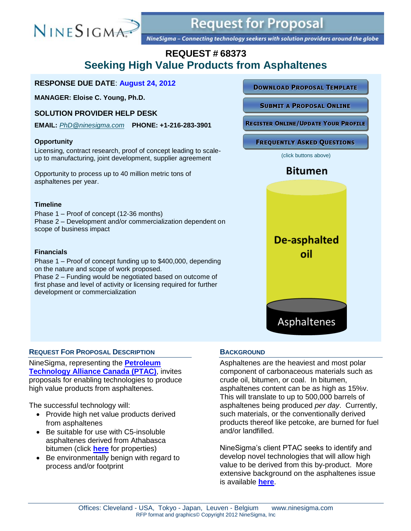

# **Request for Proposal**

NineSigma - Connecting technology seekers with solution providers around the globe

# **REQUEST # 68373 Seeking High Value Products from Asphaltenes**

#### **RESPONSE DUE DATE**: **August 24, 2012**

**MANAGER: Eloise C. Young, Ph.D.**

### **SOLUTION PROVIDER HELP DESK**

**EMAIL:** *[PhD@ninesigma.com](mailto:PhD@ninesigma.com)* **PHONE: +1-216-283-3901**

#### **Opportunity**

Licensing, contract research, proof of concept leading to scaleup to manufacturing, joint development, supplier agreement

Opportunity to process up to 40 million metric tons of asphaltenes per year.

#### **Timeline**

Phase 1 – Proof of concept (12-36 months) Phase 2 – Development and/or commercialization dependent on scope of business impact

#### **Financials**

Phase 1 – Proof of concept funding up to \$400,000, depending on the nature and scope of work proposed. Phase 2 – Funding would be negotiated based on outcome of

first phase and level of activity or licensing required for further development or commercialization

#### **DOWNLOAD PROPOSAL TEMPLATE**

**SUBMIT A PROPOSAL ONLINE** 

**REGISTER ONLINE/UPDATE YOUR PROFILE** 

**FREQUENTLY ASKED QUESTIONS** 

(click buttons above)

## **Bitumen**



#### **REQUEST FOR PROPOSAL DESCRIPTION**

NineSigma, representing the **[Petroleum](http://www.ptac.org/about_ptac/our_mission_and_our_vision)  [Technology Alliance Canada](http://www.ptac.org/about_ptac/our_mission_and_our_vision) (PTAC)**, invites proposals for enabling technologies to produce high value products from asphaltenes.

The successful technology will:

- Provide high net value products derived from asphaltenes
- Be suitable for use with C5-insoluble asphaltenes derived from Athabasca bitumen (click **[here](https://www.myninesigma.com/sites/public/_layouts/RFPs/68373_asphaltene_properties.pdf)** for properties)
- Be environmentally benign with regard to process and/or footprint

#### **BACKGROUND**

Asphaltenes are the heaviest and most polar component of carbonaceous materials such as crude oil, bitumen, or coal. In bitumen, asphaltenes content can be as high as 15%v. This will translate to up to 500,000 barrels of asphaltenes being produced *per day*. Currently, such materials, or the conventionally derived products thereof like petcoke, are burned for fuel and/or landfilled.

NineSigma's client PTAC seeks to identify and develop novel technologies that will allow high value to be derived from this by-product. More extensive background on the asphaltenes issue is available **[here](https://www.myninesigma.com/sites/public/_layouts/RFPs/68373_creating_value.pdf)**.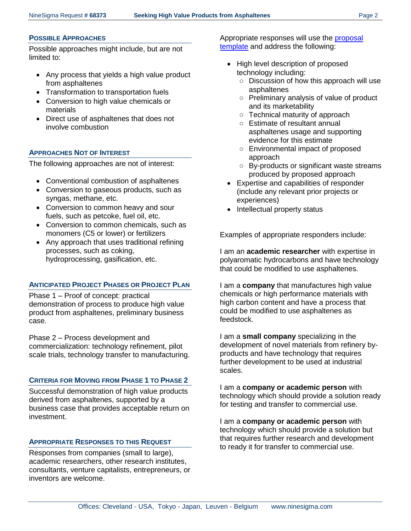#### **POSSIBLE APPROACHES**

Possible approaches might include, but are not limited to:

- Any process that yields a high value product from asphaltenes
- Transformation to transportation fuels
- Conversion to high value chemicals or materials
- Direct use of asphaltenes that does not involve combustion

## **APPROACHES NOT OF INTEREST**

The following approaches are not of interest:

- Conventional combustion of asphaltenes
- Conversion to gaseous products, such as syngas, methane, etc.
- Conversion to common heavy and sour fuels, such as petcoke, fuel oil, etc.
- Conversion to common chemicals, such as monomers (C5 or lower) or fertilizers
- Any approach that uses traditional refining processes, such as coking, hydroprocessing, gasification, etc.

#### **ANTICIPATED PROJECT PHASES OR PROJECT PLAN**

Phase 1 – Proof of concept: practical demonstration of process to produce high value product from asphaltenes, preliminary business case.

Phase 2 – Process development and commercialization: technology refinement, pilot scale trials, technology transfer to manufacturing.

#### **CRITERIA FOR MOVING FROM PHASE 1 TO PHASE 2**

Successful demonstration of high value products derived from asphaltenes, supported by a business case that provides acceptable return on investment.

#### **APPROPRIATE RESPONSES TO THIS REQUEST**

Responses from companies (small to large), academic researchers, other research institutes, consultants, venture capitalists, entrepreneurs, or inventors are welcome.

Appropriate responses will use the [proposal](https://www.myninesigma.com/sites/public/_layouts/ProposalTemplates/Response_Template_68373.doc)  [template](https://www.myninesigma.com/sites/public/_layouts/ProposalTemplates/Response_Template_68373.doc) and address the following:

- High level description of proposed technology including:
	- Discussion of how this approach will use asphaltenes
	- Preliminary analysis of value of product and its marketability
	- Technical maturity of approach
	- Estimate of resultant annual asphaltenes usage and supporting evidence for this estimate
	- Environmental impact of proposed approach
	- By-products or significant waste streams produced by proposed approach
- Expertise and capabilities of responder (include any relevant prior projects or experiences)
- Intellectual property status

Examples of appropriate responders include:

I am an **academic researcher** with expertise in polyaromatic hydrocarbons and have technology that could be modified to use asphaltenes.

I am a **company** that manufactures high value chemicals or high performance materials with high carbon content and have a process that could be modified to use asphaltenes as feedstock.

I am a **small company** specializing in the development of novel materials from refinery byproducts and have technology that requires further development to be used at industrial scales.

I am a **company or academic person** with technology which should provide a solution ready for testing and transfer to commercial use.

I am a **company or academic person** with technology which should provide a solution but that requires further research and development to ready it for transfer to commercial use.